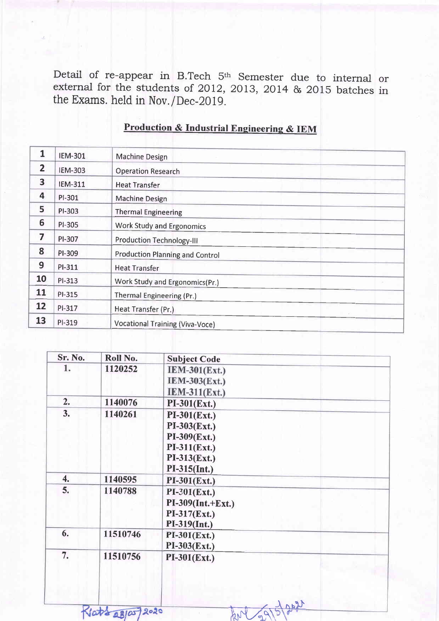Detail of re-appear in B.Tech 5<sup>th</sup> Semester due to internal or external for the students of 2012, 2013, 2014  $\&$  2015 batches in the Exams. held in Nov./Dec-2019.

| 1              | <b>IEM-301</b> | <b>Machine Design</b>                  |  |
|----------------|----------------|----------------------------------------|--|
| $\overline{2}$ | <b>IEM-303</b> | <b>Operation Research</b>              |  |
| 3              | <b>IEM-311</b> | <b>Heat Transfer</b>                   |  |
| 4              | PI-301         | <b>Machine Design</b>                  |  |
| 5              | PI-303         | <b>Thermal Engineering</b>             |  |
| 6              | PI-305         | <b>Work Study and Ergonomics</b>       |  |
| 7              | PI-307         | <b>Production Technology-III</b>       |  |
| 8              | PI-309         | <b>Production Planning and Control</b> |  |
| 9              | PI-311         | <b>Heat Transfer</b>                   |  |
| 10             | PI-313         | Work Study and Ergonomics(Pr.)         |  |
| 11             | PI-315         | Thermal Engineering (Pr.)              |  |
| 12             | PI-317         | Heat Transfer (Pr.)                    |  |
| 13             | PI-319         | <b>Vocational Training (Viva-Voce)</b> |  |

### Production & Industrial Engineering & IEM

| Sr. No. | Roll No. | <b>Subject Code</b>  |  |
|---------|----------|----------------------|--|
| 1.      | 1120252  | <b>IEM-301(Ext.)</b> |  |
|         |          | $LEM-303(Ext.)$      |  |
|         |          | <b>IEM-311(Ext.)</b> |  |
| 2.      | 1140076  | $PI-301(Ext.)$       |  |
| 3.      | 1140261  | $PI-301(Ext.)$       |  |
|         |          | $PI-303(Ext.)$       |  |
|         |          | $PI-309$ (Ext.)      |  |
|         |          | $PI-311(Ext.)$       |  |
|         |          | $PI-313(Ext.)$       |  |
|         |          | $PI-315(Int.)$       |  |
| 4.      | 1140595  | $PI-301(Ext.)$       |  |
| 5.      | 1140788  | $PI-301(Ext.)$       |  |
|         |          | $PI-309(Int.+Ext.)$  |  |
|         |          | $PI-317(Ext.)$       |  |
|         |          | $PI-319(Int.)$       |  |
| 6.      | 11510746 | $PI-301(Ext.)$       |  |
|         |          | $PI-303(Ext.)$       |  |
| 7.      | 11510756 | $PI-301(Ext.)$       |  |
|         |          |                      |  |
|         |          |                      |  |

1896/02 Mg

Rlatt 28/05/2020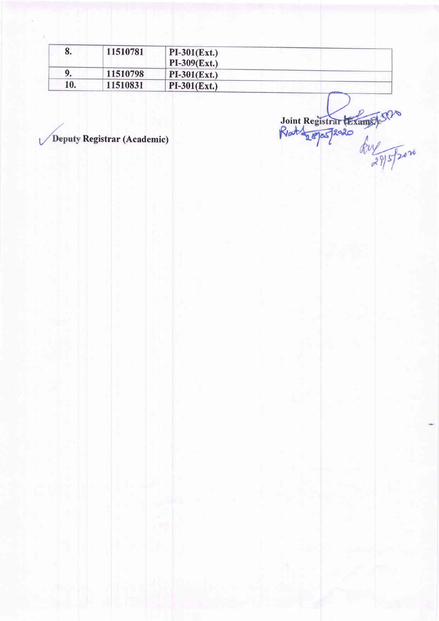| σ.  | 11510781 | $PI-301(Ext.)$<br>$PI-309$ (Ext.) |
|-----|----------|-----------------------------------|
|     | 11510798 | $PI-301(Ext.)$                    |
| 10. | 11510831 | $PI-301(Ext.)$                    |

Registrar (Academic) Registrar (Academic) Joint Re

t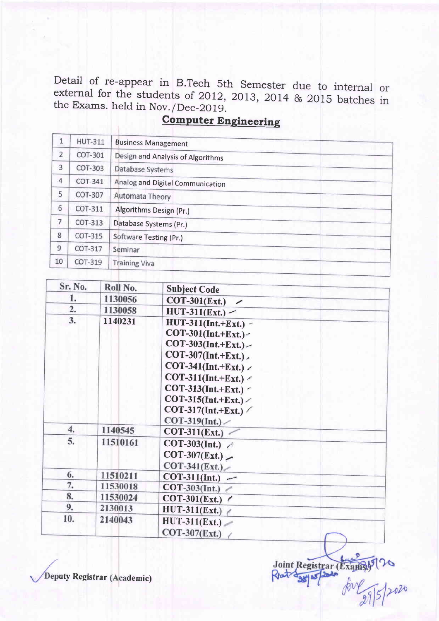Detail of re-appear in B.Tech 5th Semester due to internal or external for the students of 2012, 2013, 2014 & 2015 batches in the Exams. held in Nov. / Dec-2019. the Exams. held in Nov./Dec-2019.<br>Computer Engineering

| $1\,$          | <b>HUT-311</b> | <b>Business Management</b>        |
|----------------|----------------|-----------------------------------|
| $\overline{2}$ | COT-301        | Design and Analysis of Algorithms |
| 3              | COT-303        | Database Systems                  |
| $\overline{4}$ | COT-341        | Analog and Digital Communication  |
| 5              | COT-307        | Automata Theory                   |
| 6              | COT-311        | Algorithms Design (Pr.)           |
| 7              | COT-313        | Database Systems (Pr.)            |
| 8              | COT-315        | Software Testing (Pr.)            |
| 9              | COT-317        | Seminar                           |
| 10             | COT-319        | <b>Training Viva</b>              |

| Sr. No.          | Roll No. | <b>Subject Code</b>                                                                                                                                                                                                                                                          |
|------------------|----------|------------------------------------------------------------------------------------------------------------------------------------------------------------------------------------------------------------------------------------------------------------------------------|
| 1.               | 1130056  | <b>COT-301(Ext.)</b><br>$\overline{\phantom{a}}$                                                                                                                                                                                                                             |
| $\overline{2}$ . | 1130058  | $HUT-311(Ext.)$                                                                                                                                                                                                                                                              |
| 3.               | 1140231  | $HUT-311(Int.+Ext.) -$<br>$COT-301(Int.+Ext.)-$<br>$COT-303(Int.+Ext.)-$<br>$COT-307(Int.+Ext.)$<br>COT-341(Int.+Ext.) $\angle$<br>COT-311(Int.+Ext.) $\prime$<br>COT-313(Int.+Ext.) $\sim$<br>COT-315(Int.+Ext.) $\angle$<br>COT-317(Int.+Ext.) $\angle$<br>$COT-319(Int.)$ |
| 4.               | 1140545  | $COT-311(Ext.)$                                                                                                                                                                                                                                                              |
| 5.               | 11510161 | COT-303(Int.)<br>$COT-307(Ext.)$<br>$COT-341(Ext.)$                                                                                                                                                                                                                          |
| 6.               | 11510211 | $COT-311(Int.)$ —                                                                                                                                                                                                                                                            |
| 7.               | 11530018 | COT-303(Int.) $\epsilon$                                                                                                                                                                                                                                                     |
| 8.               | 11530024 | COT-301(Ext.) $\ell$                                                                                                                                                                                                                                                         |
| 9.               | 2130013  | $HUT-311(Ext.)$                                                                                                                                                                                                                                                              |
| 10.              | 2140043  | $HUT-311(Ext.)$<br>$COT-307$ (Ext.)                                                                                                                                                                                                                                          |

Joint Registrar (Example) 70

Deputy Registrar (Academic)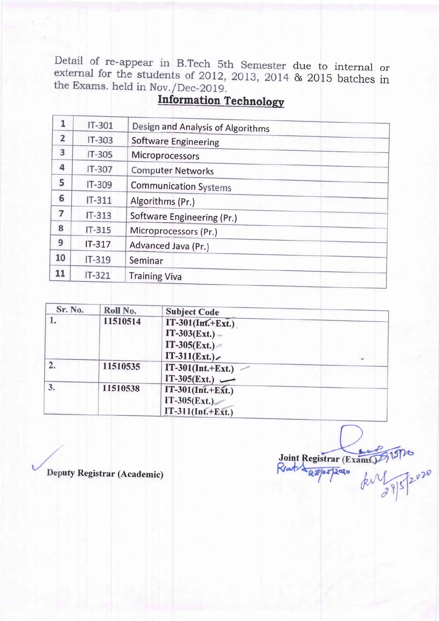due to internal or & 2015 batches in the Exams. held in Nov./Dec-2019.<br>Information Technology

| 1              | IT-301   | Design and Analysis of Algorithms |  |
|----------------|----------|-----------------------------------|--|
| $\overline{2}$ | IT-303   | <b>Software Engineering</b>       |  |
| 3              | $IT-305$ | <b>Microprocessors</b>            |  |
| 4              | IT-307   | <b>Computer Networks</b>          |  |
| 5              | IT-309   | <b>Communication Systems</b>      |  |
| 6              | $IT-311$ | Algorithms (Pr.)                  |  |
| 7              | $IT-313$ | Software Engineering (Pr.)        |  |
| 8              | $IT-315$ | Microprocessors (Pr.)             |  |
| 9              | $IT-317$ | Advanced Java (Pr.)               |  |
| 10             | IT-319   | Seminar                           |  |
| 11             | $IT-321$ | <b>Training Viva</b>              |  |

| Sr. No. | Roll No. | <b>Subject Code</b>                                          |  |
|---------|----------|--------------------------------------------------------------|--|
|         | 11510514 | $IT-301(Int.+Ext.)$<br>$IT-303(Ext.) -$                      |  |
|         |          | $IT-305(Ext.) -$<br>$IT-311(Ext.)$                           |  |
|         | 11510535 | $IT-301(Int.+Ext.)$<br>IT-305(Ext.) $\longrightarrow$        |  |
| 3.      | 11510538 | $IT-301(Inf.+Ext.)$<br>$IT-305(Ext.)$<br>$IT-311(Int.+Ext.)$ |  |

Deputy Registrar (Academic)

Joint R .egistrar  $R_{\text{out}}$  $\frac{1}{295}$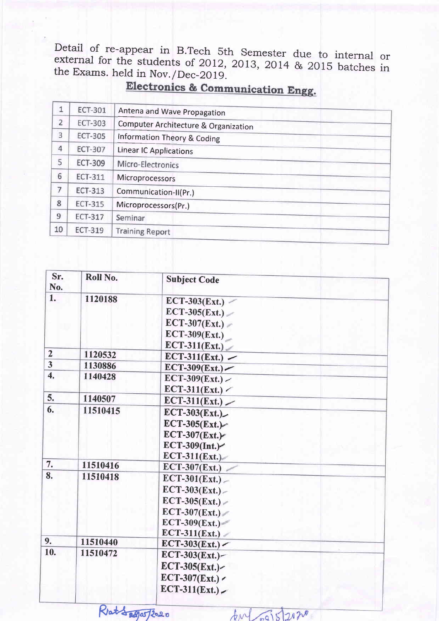Detail of re-appear in B.Tech 5th Semester<br>external for the students of 2012, 2013, 2014<br>the Exams. held in Nov. /Dec-2019. Detail of re-appear in B.Tech 5th Semester due to internal or & 2015 batches in

| 1              | <b>ECT-301</b> | Antena and Wave Propagation          |  |
|----------------|----------------|--------------------------------------|--|
| $\overline{2}$ | <b>ECT-303</b> | Computer Architecture & Organization |  |
| 3              | <b>ECT-305</b> | Information Theory & Coding          |  |
| $\overline{4}$ | <b>ECT-307</b> | <b>Linear IC Applications</b>        |  |
| 5              | <b>ECT-309</b> | Micro-Electronics                    |  |
| 6              | <b>ECT-311</b> | Microprocessors                      |  |
| 7              | <b>ECT-313</b> | Communication-II(Pr.)                |  |
| 8              | <b>ECT-315</b> | Microprocessors(Pr.)                 |  |
| 9              | <b>ECT-317</b> | Seminar                              |  |
| 10             | <b>ECT-319</b> | <b>Training Report</b>               |  |

| Sr.<br>No.              | Roll No. | <b>Subject Code</b> |
|-------------------------|----------|---------------------|
| 1.                      | 1120188  | $ECT-303(Ext.)$     |
|                         |          | $ECT-305 (Ext.)$    |
|                         |          | $ECT-307 (Ext.)$    |
|                         |          | ECT-309 $(Ext.)$    |
|                         |          | $ECT-311 (Ext.)$    |
| $\overline{2}$          | 1120532  | $ECT-311 (Ext.)$    |
| $\overline{\mathbf{3}}$ | 1130886  | $ECT-309 (Ext.)$    |
| $\overline{4}$ .        | 1140428  | $ECT-309 ( Ext.)$   |
|                         |          | $ECT-311 (Ext.)$    |
| 5.                      | 1140507  | $ECT-311 (Ext.)$    |
| 6.                      | 11510415 | $ECT-303 (Ext.)$    |
|                         |          | $ECT-305 (Ext.)$    |
|                         |          | $ECT-307 (Ext.)$    |
|                         |          | $ECT-309 (Int.)$    |
|                         |          | $ECT-311 (Ext.)$    |
| 7.                      | 11510416 | $ECT-307 (Ext.)$    |
| 8.                      | 11510418 | $ECT-301 (Ext.)$    |
|                         |          | $ECT-303 ( Ext.) -$ |
|                         |          | $ECT-305 (Ext.) -$  |
|                         |          | $ECT-307 (Ext.)$    |
|                         |          | $ECT-309 (Ext.)$    |
|                         |          | $ECT-311 (Ext.)$    |
| 9.                      | 11510440 | $ECT-303 (Ext.)$    |
| 10.                     | 11510472 | $ECT-303(Ext.)$     |
|                         |          | ECT-305(Ext.)~      |
|                         |          | $ECT-307(Ext.)$     |
|                         |          | $ECT-311 (Ext.)$    |
|                         |          |                     |

 $km\sqrt{q}sin\ 2020$ 

Ratt 29 a5 2020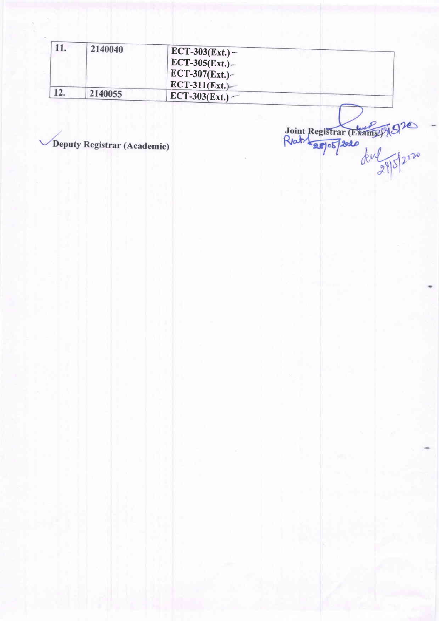|     | 2140040 | $ECT-303(Ext.) -$<br>$ECT-305(Ext.)$      |
|-----|---------|-------------------------------------------|
|     |         | $\sqrt{ECT-307(Ext.)}$<br>$ECT-311(Ext.)$ |
| 12. | 2140055 | $ECT-303(Ext.)$                           |

Deputy Registrar (Academic)

Joint Registrar (Example)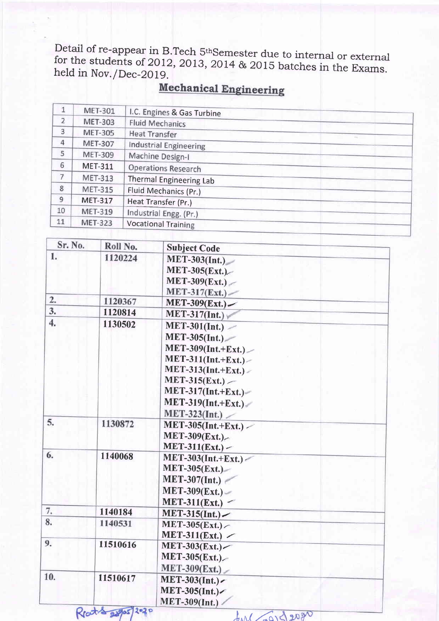Detail of re-appear in B.Tech 5<sup>th</sup>Semester due to internal or external for the students of 2012, 2013, 2014 & 2015 batches in the Exams. held in Nov. /Dec-2019.<br>**Mechanical Engineering** 

| 1              | <b>MET-301</b> | I.C. Engines & Gas Turbine   |  |
|----------------|----------------|------------------------------|--|
| $\overline{2}$ | <b>MET-303</b> | <b>Fluid Mechanics</b>       |  |
| 3              | <b>MET-305</b> | <b>Heat Transfer</b><br>man. |  |
| $\overline{4}$ | <b>MET-307</b> | Industrial Engineering       |  |
| 5              | <b>MET-309</b> | Machine Design-I             |  |
| 6              | <b>MET-311</b> | <b>Operations Research</b>   |  |
| 7              | <b>MET-313</b> | Thermal Engineering Lab      |  |
| 8              | <b>MET-315</b> | Fluid Mechanics (Pr.)        |  |
| 9              | <b>MET-317</b> | Heat Transfer (Pr.)          |  |
| 10             | <b>MET-319</b> | Industrial Engg. (Pr.)       |  |
| 11             | <b>MET-323</b> | <b>Vocational Training</b>   |  |

| Sr. No. | Roll No. | <b>Subject Code</b>    |
|---------|----------|------------------------|
| 1.      | 1120224  | $MET-303(Int.)$        |
|         |          | <b>MET-305(Ext.)</b>   |
|         |          | $MET-309(Ext.)$        |
|         |          | MET-317(Ext.)          |
| 2.      | 1120367  | $MET-309(EXt.)$        |
| 3.      | 1120814  | $MET-317(Int.)$        |
| 4.      | 1130502  | $MET-301(Int.)$        |
|         |          | $MET-305(Int.)$        |
|         |          | $MET-309(Int.+Ext.)$   |
|         |          | $MET-311(Int.+Ext.)-$  |
|         |          | $MET-313(Int.+Ext.) -$ |
|         |          | $MET-315(Ext.)$        |
|         |          | $MET-317(Int.+Ext.)$   |
|         |          | $MET-319(Int.+Ext.)$   |
|         |          | MET-323(Int.)          |
| 5.      | 1130872  | $MET-305(Int.+Ext.)$   |
|         |          | MET-309(Ext.)          |
|         |          | $MET-311(Ext.) -$      |
| 6.      | 1140068  | $MET-303(Int.+Ext.)$   |
|         |          | $MET-305(Ext.)$        |
|         |          | $MET-307(Int.)$        |
|         |          | $MET-309(Ext.) -$      |
|         |          | MET-311(Ext.) $-$      |
| 7.      | 1140184  | $MET-315(Int.)$        |
| 8.      | 1140531  | MET-305(Ext.)          |
|         |          | MET-311(Ext.) $\angle$ |
| 9.      | 11510616 | MET-303(Ext.)          |
|         |          | MET-305(Ext.)          |
|         |          | MET-309(Ext.)          |
| 10.     | 11510617 | MET-303(Int.)~         |
|         |          | MET-305(Int.)          |
|         |          | <b>MET-309(Int.)</b>   |

Reat & 22905 202 P

 $f_{\text{M}}$  and 20gr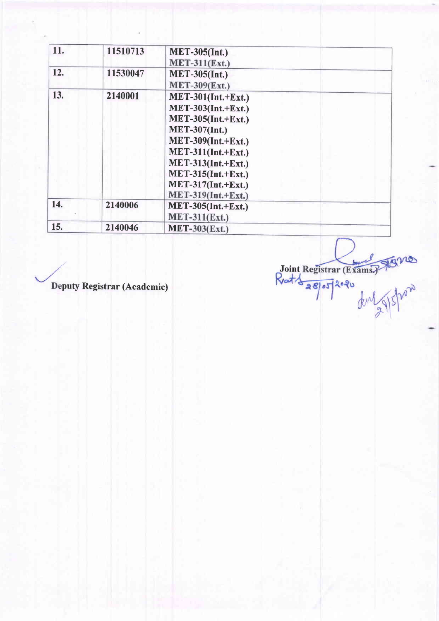| 11. | 11510713 | <b>MET-305(Int.)</b>      |
|-----|----------|---------------------------|
|     |          | <b>MET-311(Ext.)</b>      |
| 12. | 11530047 | <b>MET-305(Int.)</b>      |
|     |          | <b>MET-309(Ext.)</b>      |
| 13. | 2140001  | $MET-301(Int.+Ext.)$      |
|     |          | $MET-303(Int.+Ext.)$      |
|     |          | <b>MET-305(Int.+Ext.)</b> |
|     |          | <b>MET-307(Int.)</b>      |
|     |          | $MET-309(Int.+Ext.)$      |
|     |          | $MET-311(Int.+Ext.)$      |
|     |          | $MET-313(Int.+Ext.)$      |
|     |          | $MET-315(Int.+Ext.)$      |
|     |          | $MET-317(Int.+Ext.)$      |
|     |          | $MET-319(Int.+Ext.)$      |
| 14. | 2140006  | $MET-305(Int.+Ext.)$      |
|     |          | $MET-311(Ext.)$           |
| 15. | 2140046  | <b>MET-303(Ext.)</b>      |

Deputy Registrar (Academic)

Joint Registrar (Exams) Jours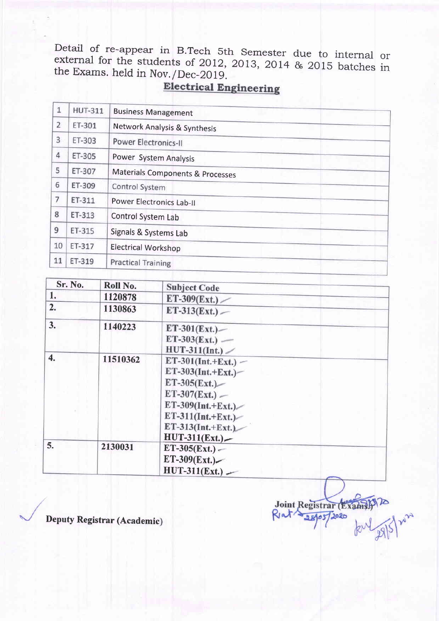Detail of re-appear in B.Tech 5th Semester due to internal or<br>external for the students of 2012, 2013, 2014 & 2015 batches in<br>the Exams. held in Nov./Dec-2019.

| $\mathbf{1}$   | <b>HUT-311</b> | <b>Business Management</b>       |
|----------------|----------------|----------------------------------|
| $\overline{2}$ | ET-301         | Network Analysis & Synthesis     |
| 3              | ET-303         | Power Electronics-II             |
| 4              | ET-305         | Power System Analysis            |
| 5              | ET-307         | Materials Components & Processes |
| 6              | ET-309         | Control System                   |
| $\overline{7}$ | ET-311         | <b>Power Electronics Lab-II</b>  |
| 8              | ET-313         | Control System Lab               |
| 9              | ET-315         | Signals & Systems Lab            |
| 10             | ET-317         | <b>Electrical Workshop</b>       |
| 11             | ET-319         | <b>Practical Training</b>        |
|                |                |                                  |

| Sr. No.          | Roll No. | <b>Subject Code</b>                                                                                                                                                      |  |
|------------------|----------|--------------------------------------------------------------------------------------------------------------------------------------------------------------------------|--|
| 1.               | 1120878  | $ET-309(Ext.)$                                                                                                                                                           |  |
| 2.               | 1130863  | $ET-313(Ext.)$                                                                                                                                                           |  |
| 3.               | 1140223  | $ET-301(Ext.)$<br>$ET-303(Ext.)$ —<br>$HUT-311(Int.)$                                                                                                                    |  |
| $\overline{4}$ . | 11510362 | $ET-301(Int.+Ext.)$ –<br>$ET-303(Int.+Ext.)$<br>$ET-305(Ext.)$<br>$ET-307(Ext.) -$<br>ET-309(Int.+Ext.)<br>$ET-311(Int.+Ext.)$<br>$ET-313(Int.+Ext.)$<br>$HUT-311(Ext.)$ |  |
| 5.               | 2130031  | $ET-305(Ext.) -$<br>$ET-309(Ext.)$<br>$HUT-311(Ext.) -$                                                                                                                  |  |

Joint Registrar (Exam Riat 38905 12020

Deputy Registrar (Academic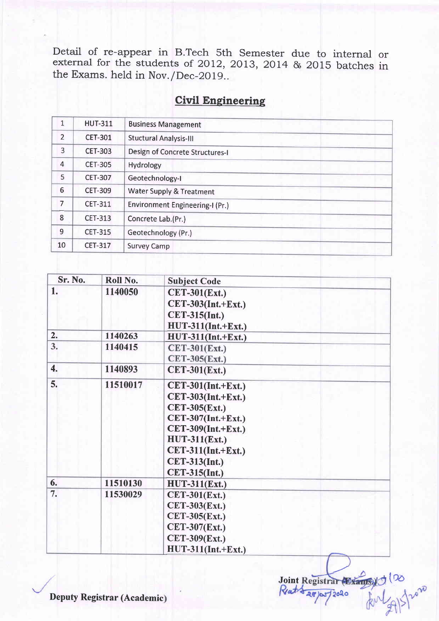Detail of re-appear in B.Tech 5th Semester due to internal<br>external for the students of 2012, 2013, 2014 & 2015 batches the Exams. held in Nov. /Dec-2O19.. or in

| $\mathbf{1}$   | <b>HUT-311</b> | <b>Business Management</b>          |  |  |
|----------------|----------------|-------------------------------------|--|--|
| $\overline{2}$ | <b>CET-301</b> | <b>Stuctural Analysis-III</b>       |  |  |
| 3              | <b>CET-303</b> | Design of Concrete Structures-I     |  |  |
| $\overline{4}$ | <b>CET-305</b> | Hydrology                           |  |  |
| 5              | <b>CET-307</b> | Geotechnology-I                     |  |  |
| 6              | <b>CET-309</b> | <b>Water Supply &amp; Treatment</b> |  |  |
| $\overline{7}$ | <b>CET-311</b> | Environment Engineering-I (Pr.)     |  |  |
| 8              | <b>CET-313</b> | Concrete Lab.(Pr.)                  |  |  |
| 9              | <b>CET-315</b> | Geotechnology (Pr.)                 |  |  |
| 10             | <b>CET-317</b> | <b>Survey Camp</b>                  |  |  |

# **Civil Engineering**

| Sr. No. | Roll No. | <b>Subject Code</b>  |
|---------|----------|----------------------|
| 1.      | 1140050  | <b>CET-301(Ext.)</b> |
|         |          | CET-303(Int.+Ext.)   |
|         |          | <b>CET-315(Int.)</b> |
|         |          | $HUT-311(Int.+Ext.)$ |
| 2.      | 1140263  | $HUT-311(Int.+Ext.)$ |
| 3.      | 1140415  | $CET-301(Ext.)$      |
|         |          | CET-305(Ext.)        |
| 4.      | 1140893  | <b>CET-301(Ext.)</b> |
| 5.      | 11510017 | $CET-301(Int.+Ext.)$ |
|         |          | $CET-303(Int.+Ext.)$ |
|         |          | <b>CET-305(Ext.)</b> |
|         |          | $CET-307(Int.+Ext.)$ |
|         |          | $CET-309(Int.+Ext.)$ |
|         |          | <b>HUT-311(Ext.)</b> |
|         |          | $CET-311(Int.+Ext.)$ |
|         |          | <b>CET-313(Int.)</b> |
|         |          | <b>CET-315(Int.)</b> |
| 6.      | 11510130 | <b>HUT-311(Ext.)</b> |
| 7.      | 11530029 | <b>CET-301(Ext.)</b> |
|         |          | <b>CET-303(Ext.)</b> |
|         |          | $CET-305(Ext.)$      |
|         |          | <b>CET-307(Ext.)</b> |
|         |          | <b>CET-309(Ext.)</b> |
|         |          | $HUT-311(Int.+Ext.)$ |

Joint Registrar (Exams)

28)05/2020